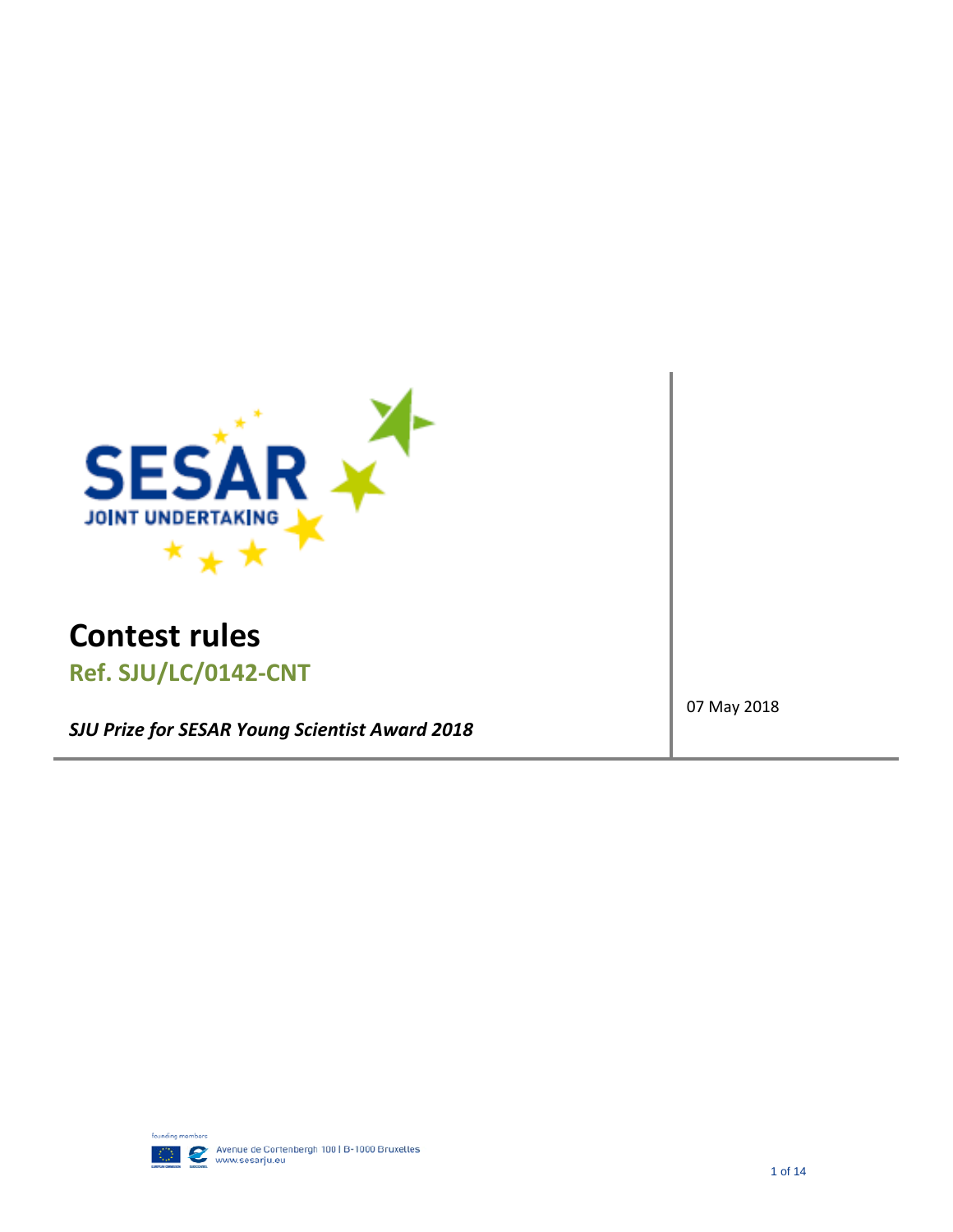

# **Contest rules Ref. SJU/LC/0142‐CNT**

*SJU Prize for SESAR Young Scientist Award 2018*

07 May 2018

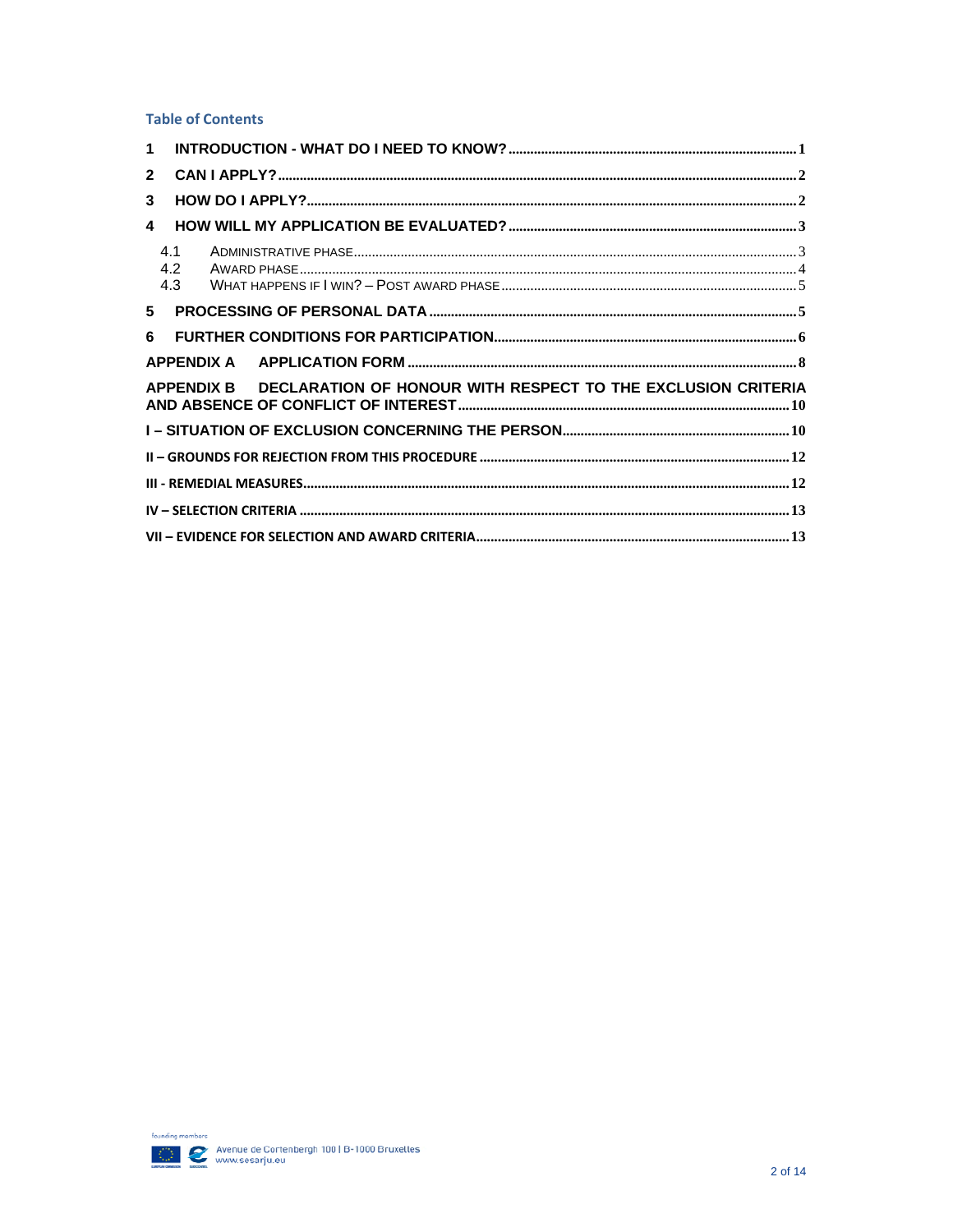#### **Table of Contents**

| $\mathbf{1}$   |                   |                                                                         |  |
|----------------|-------------------|-------------------------------------------------------------------------|--|
| $\overline{2}$ |                   |                                                                         |  |
| 3              |                   |                                                                         |  |
| 4              |                   |                                                                         |  |
|                | 4.1<br>4.2<br>4.3 |                                                                         |  |
| 5              |                   |                                                                         |  |
| 6              |                   |                                                                         |  |
|                |                   |                                                                         |  |
|                |                   | APPENDIX B DECLARATION OF HONOUR WITH RESPECT TO THE EXCLUSION CRITERIA |  |
|                |                   |                                                                         |  |
|                |                   |                                                                         |  |
|                |                   |                                                                         |  |
|                |                   |                                                                         |  |
|                |                   |                                                                         |  |

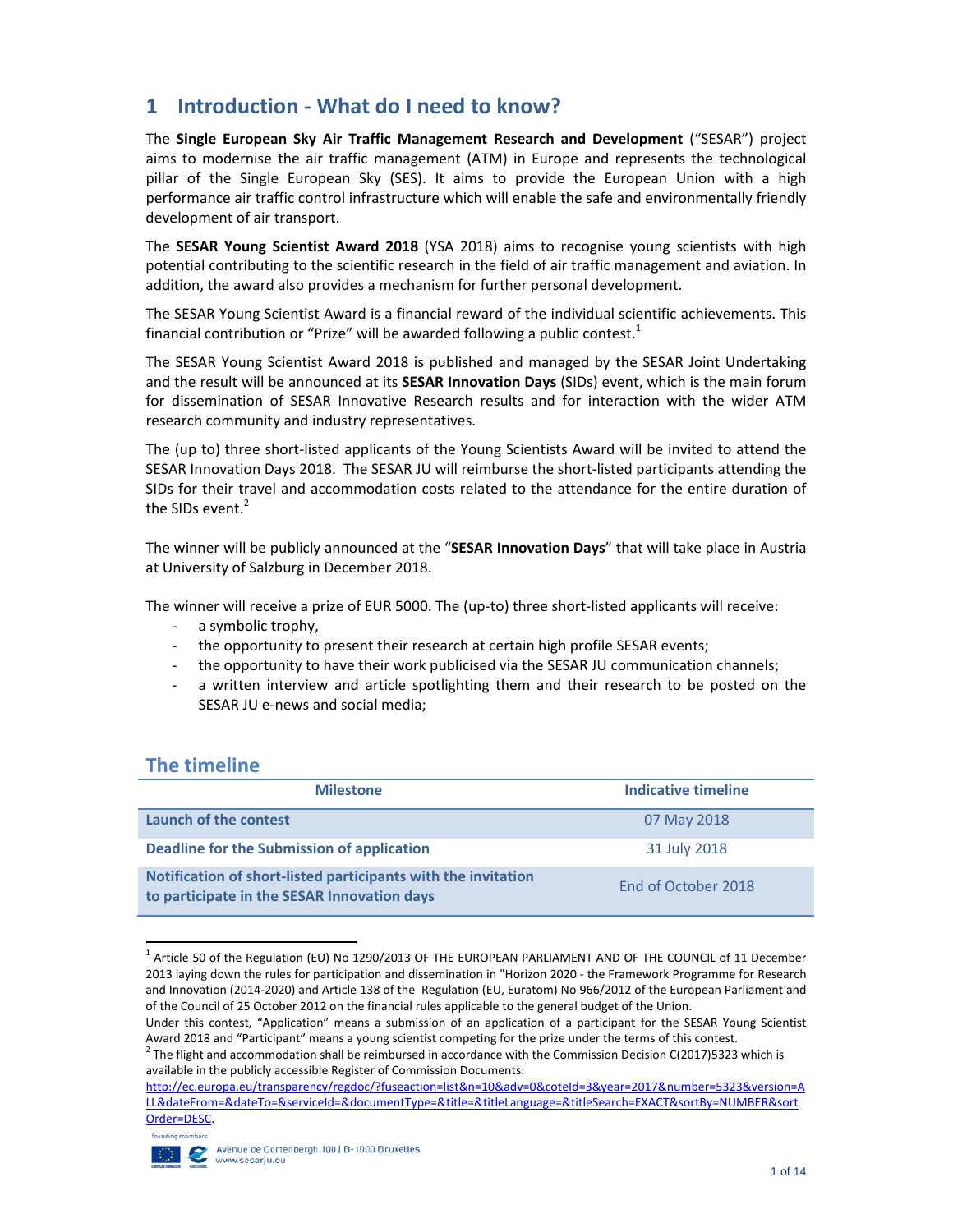## **1 Introduction ‐ What do I need to know?**

The **Single European Sky Air Traffic Management Research and Development** ("SESAR") project aims to modernise the air traffic management (ATM) in Europe and represents the technological pillar of the Single European Sky (SES). It aims to provide the European Union with a high performance air traffic control infrastructure which will enable the safe and environmentally friendly development of air transport.

The **SESAR Young Scientist Award 2018** (YSA 2018) aims to recognise young scientists with high potential contributing to the scientific research in the field of air traffic management and aviation. In addition, the award also provides a mechanism for further personal development.

The SESAR Young Scientist Award is a financial reward of the individual scientific achievements. This financial contribution or "Prize" will be awarded following a public contest.<sup>1</sup>

The SESAR Young Scientist Award 2018 is published and managed by the SESAR Joint Undertaking and the result will be announced at its **SESAR Innovation Days** (SIDs) event, which is the main forum for dissemination of SESAR Innovative Research results and for interaction with the wider ATM research community and industry representatives.

The (up to) three short‐listed applicants of the Young Scientists Award will be invited to attend the SESAR Innovation Days 2018. The SESAR JU will reimburse the short‐listed participants attending the SIDs for their travel and accommodation costs related to the attendance for the entire duration of the SIDs event.<sup>2</sup>

The winner will be publicly announced at the "**SESAR Innovation Days**" that will take place in Austria at University of Salzburg in December 2018.

The winner will receive a prize of EUR 5000. The (up-to) three short-listed applicants will receive:

- a symbolic trophy,
- ‐ the opportunity to present their research at certain high profile SESAR events;
- ‐ the opportunity to have their work publicised via the SESAR JU communication channels;
- ‐ a written interview and article spotlighting them and their research to be posted on the SESAR JU e‐news and social media;

### **The timeline**

| <b>Milestone</b>                                                                                             | Indicative timeline |
|--------------------------------------------------------------------------------------------------------------|---------------------|
| Launch of the contest                                                                                        | 07 May 2018         |
| Deadline for the Submission of application                                                                   | 31 July 2018        |
| Notification of short-listed participants with the invitation<br>to participate in the SESAR Innovation days | End of October 2018 |

  $<sup>1</sup>$  Article 50 of the Regulation (EU) No 1290/2013 OF THE EUROPEAN PARLIAMENT AND OF THE COUNCIL of 11 December</sup> 2013 laying down the rules for participation and dissemination in "Horizon 2020 ‐ the Framework Programme for Research and Innovation (2014‐2020) and Article 138 of the Regulation (EU, Euratom) No 966/2012 of the European Parliament and of the Council of 25 October 2012 on the financial rules applicable to the general budget of the Union.

http://ec.europa.eu/transparency/regdoc/?fuseaction=list&n=10&adv=0&coteId=3&year=2017&number=5323&version=A LL&dateFrom=&dateTo=&serviceId=&documentType=&title=&titleLanguage=&titleSearch=EXACT&sortBy=NUMBER&sort Order=DESC.



Under this contest, "Application" means a submission of an application of a participant for the SESAR Young Scientist Award 2018 and "Participant" means a young scientist competing for the prize under the terms of this contest.<br><sup>2</sup> The flight and accommodation shall be reimbursed in accordance with the Commission Decision C(2017)5323 whi

available in the publicly accessible Register of Commission Documents: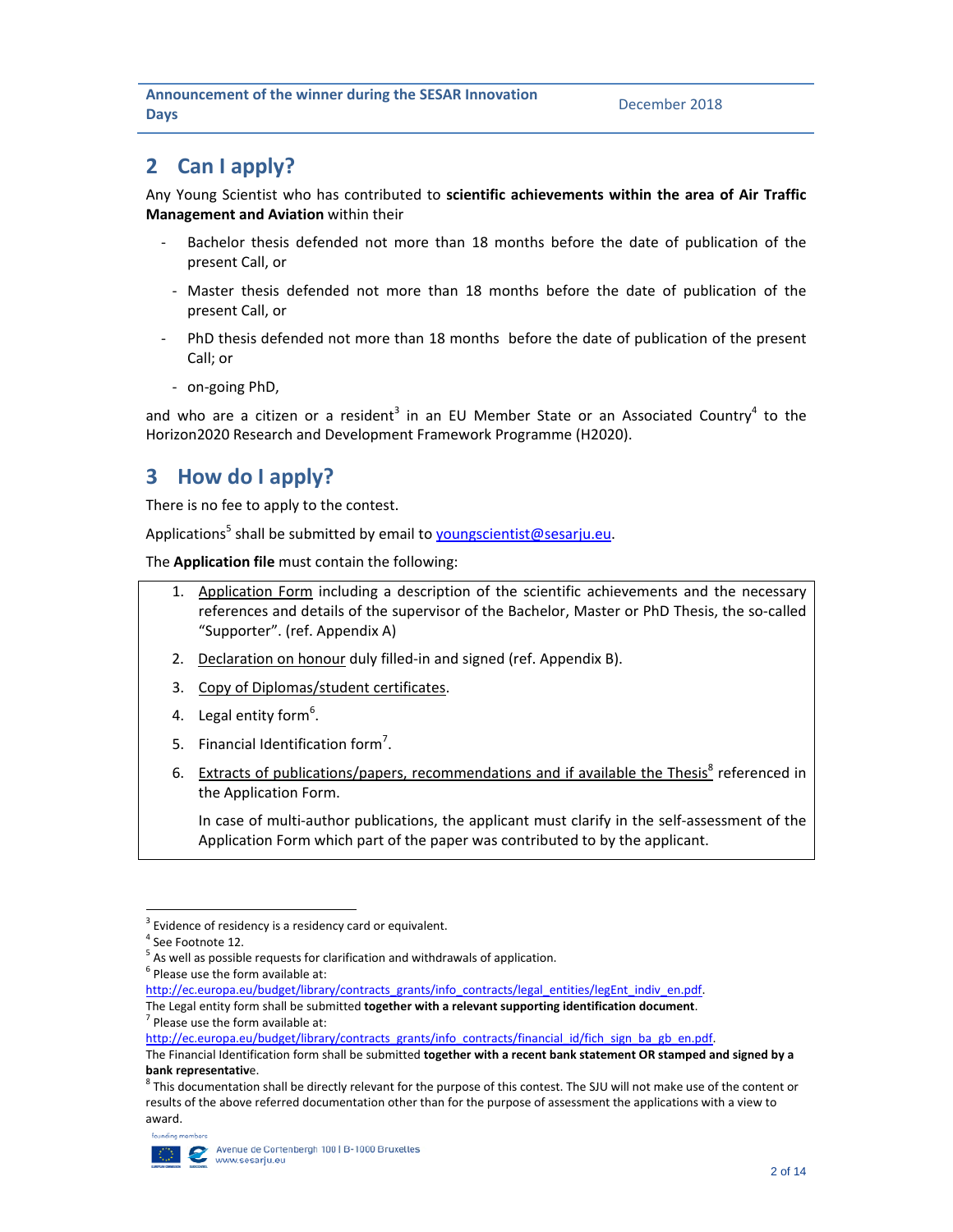## **2 Can I apply?**

Any Young Scientist who has contributed to **scientific achievements within the area of Air Traffic Management and Aviation** within their

- Bachelor thesis defended not more than 18 months before the date of publication of the present Call, or
- ‐ Master thesis defended not more than 18 months before the date of publication of the present Call, or
- ‐ PhD thesis defended not more than 18 months before the date of publication of the present Call; or
	- ‐ on‐going PhD,

and who are a citizen or a resident<sup>3</sup> in an EU Member State or an Associated Country<sup>4</sup> to the Horizon2020 Research and Development Framework Programme (H2020).

## **3 How do I apply?**

There is no fee to apply to the contest.

Applications<sup>5</sup> shall be submitted by email to youngscientist@sesarju.eu.

The **Application file** must contain the following:

- 1. Application Form including a description of the scientific achievements and the necessary references and details of the supervisor of the Bachelor, Master or PhD Thesis, the so-called "Supporter". (ref. Appendix A)
- 2. Declaration on honour duly filled-in and signed (ref. Appendix B).
- 3. Copy of Diplomas/student certificates.
- 4. Legal entity form<sup>6</sup>.
- 5. Financial Identification form<sup>7</sup>.
- 6. Extracts of publications/papers, recommendations and if available the Thesis<sup>8</sup> referenced in the Application Form.

In case of multi-author publications, the applicant must clarify in the self-assessment of the Application Form which part of the paper was contributed to by the applicant.

The Legal entity form shall be submitted **together with <sup>a</sup> relevant supporting identification document**. <sup>7</sup> Please use the form available at:

http://ec.europa.eu/budget/library/contracts\_grants/info\_contracts/financial\_id/fich\_sign\_ba\_gb\_en.pdf.

The Financial Identification form shall be submitted **together with a recent bank statement OR stamped and signed by a bank representativ**e.<br><sup>8</sup> This documentation shall be directly relevant for the purpose of this contest. The SJU will not make use of the content or

results of the above referred documentation other than for the purpose of assessment the applications with a view to award.



<sup>&</sup>lt;sup>3</sup> Evidence of residency is a residency card or equivalent.<br>
<sup>4</sup> See Footnote 12.<br>
<sup>5</sup> As well as possible requests for clarification and withdrawals of application.<br>
<sup>6</sup> Please use the form available at:

http://ec.europa.eu/budget/library/contracts\_grants/info\_contracts/legal\_entities/legEnt\_indiv\_en.pdf.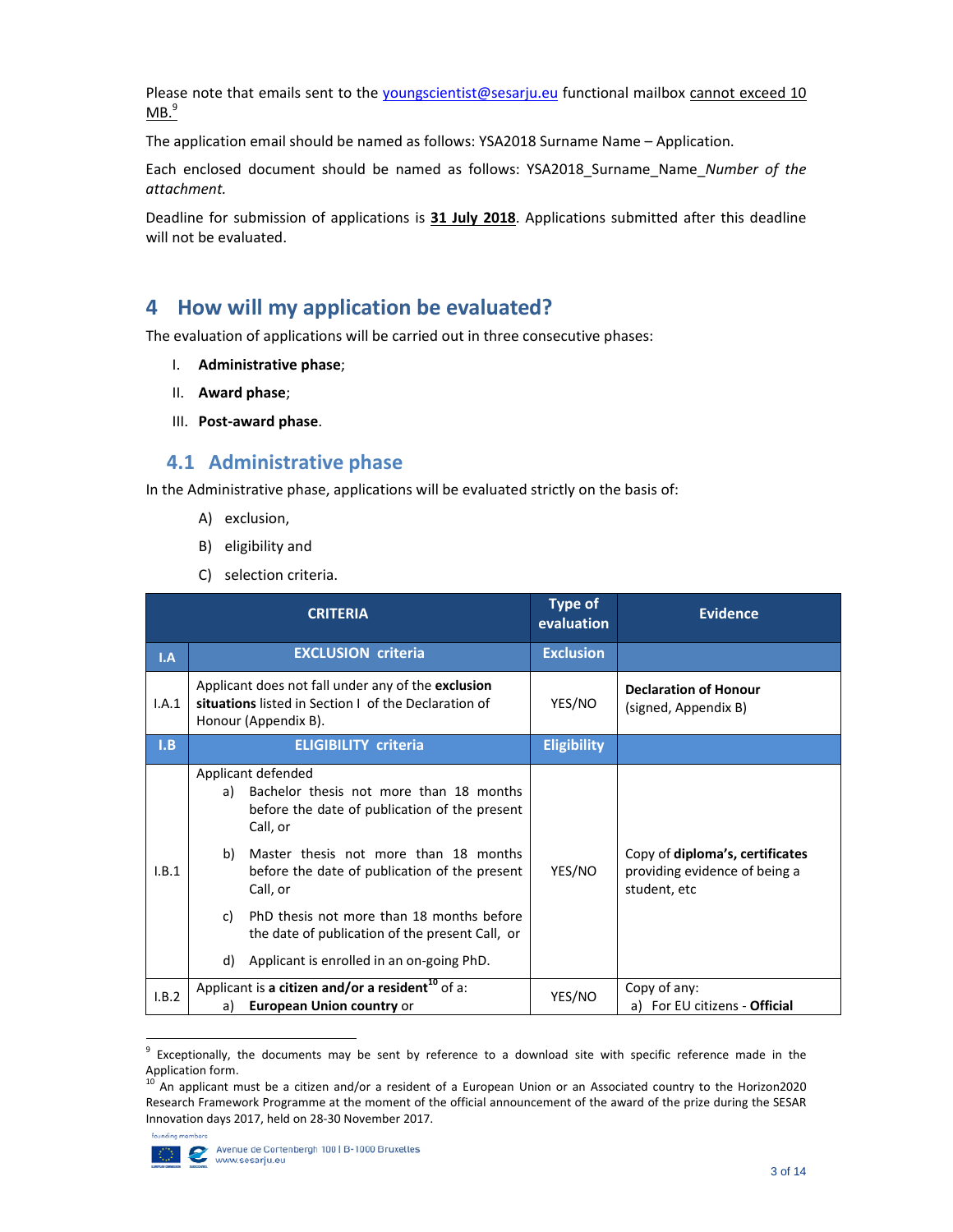Please note that emails sent to the youngscientist@sesarju.eu functional mailbox cannot exceed 10  $MB.<sup>9</sup>$ 

The application email should be named as follows: YSA2018 Surname Name – Application.

Each enclosed document should be named as follows: YSA2018\_Surname\_Name\_*Number of the attachment.* 

Deadline for submission of applications is **31 July 2018**. Applications submitted after this deadline will not be evaluated.

## **4 How will my application be evaluated?**

The evaluation of applications will be carried out in three consecutive phases:

- I. **Administrative phase**;
- II. **Award phase**;
- III. **Post‐award phase**.

### **4.1 Administrative phase**

In the Administrative phase, applications will be evaluated strictly on the basis of:

- A) exclusion,
- B) eligibility and
- C) selection criteria.

| <b>CRITERIA</b> |                                                                                                                                                                                                                                                                                                                                                                                                       | <b>Type of</b><br>evaluation | <b>Evidence</b>                                                                  |
|-----------------|-------------------------------------------------------------------------------------------------------------------------------------------------------------------------------------------------------------------------------------------------------------------------------------------------------------------------------------------------------------------------------------------------------|------------------------------|----------------------------------------------------------------------------------|
| I.A             | <b>EXCLUSION criteria</b>                                                                                                                                                                                                                                                                                                                                                                             | <b>Exclusion</b>             |                                                                                  |
| I.A.1           | Applicant does not fall under any of the exclusion<br>situations listed in Section I of the Declaration of<br>Honour (Appendix B).                                                                                                                                                                                                                                                                    | YES/NO                       | <b>Declaration of Honour</b><br>(signed, Appendix B)                             |
| I.B             | <b>ELIGIBILITY criteria</b>                                                                                                                                                                                                                                                                                                                                                                           | <b>Eligibility</b>           |                                                                                  |
| I.B.1           | Applicant defended<br>Bachelor thesis not more than 18 months<br>a)<br>before the date of publication of the present<br>Call, or<br>Master thesis not more than 18 months<br>b)<br>before the date of publication of the present<br>Call, or<br>PhD thesis not more than 18 months before<br>C)<br>the date of publication of the present Call, or<br>Applicant is enrolled in an on-going PhD.<br>d) | YES/NO                       | Copy of diploma's, certificates<br>providing evidence of being a<br>student, etc |
| I.B.2           | Applicant is a citizen and/or a resident <sup>10</sup> of a:<br><b>European Union country or</b><br>a)                                                                                                                                                                                                                                                                                                | YES/NO                       | Copy of any:<br>a) For EU citizens - Official                                    |

<sup>&</sup>lt;sup>9</sup> Exceptionally, the documents may be sent by reference to a download site with specific reference made in the<br>Application form.

An applicant must be a citizen and/or a resident of a European Union or an Associated country to the Horizon2020 Research Framework Programme at the moment of the official announcement of the award of the prize during the SESAR Innovation days 2017, held on 28‐30 November 2017.

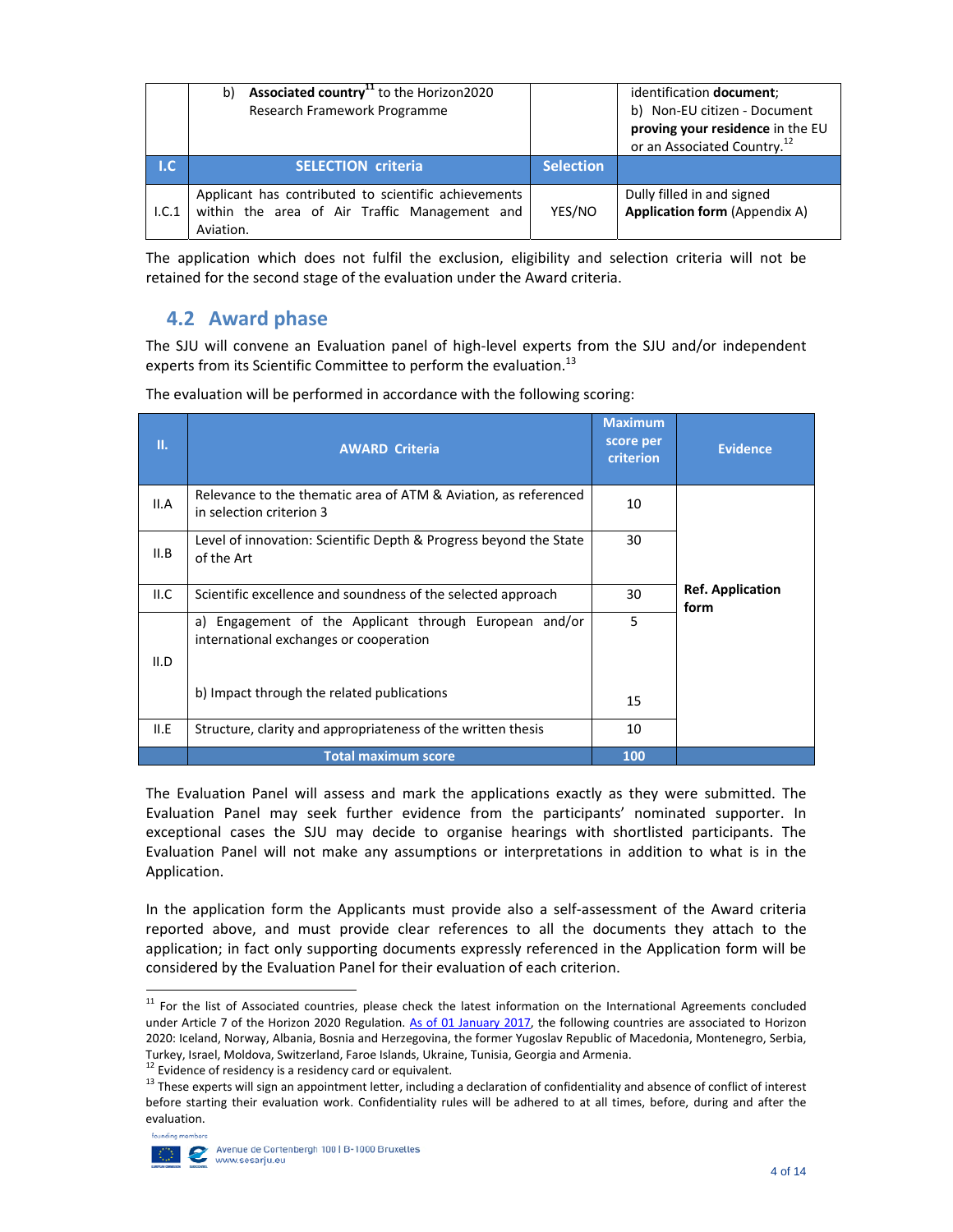|             | Associated country <sup>11</sup> to the Horizon2020<br>b)<br>Research Framework Programme                          |                  | identification document;<br>b) Non-EU citizen - Document<br>proving your residence in the EU<br>or an Associated Country. <sup>12</sup> |
|-------------|--------------------------------------------------------------------------------------------------------------------|------------------|-----------------------------------------------------------------------------------------------------------------------------------------|
| $L_{\rm C}$ | <b>SELECTION criteria.</b>                                                                                         | <b>Selection</b> |                                                                                                                                         |
| 1.C.1       | Applicant has contributed to scientific achievements<br>within the area of Air Traffic Management and<br>Aviation. | YES/NO           | Dully filled in and signed<br><b>Application form (Appendix A)</b>                                                                      |

The application which does not fulfil the exclusion, eligibility and selection criteria will not be retained for the second stage of the evaluation under the Award criteria.

## **4.2 Award phase**

The SJU will convene an Evaluation panel of high‐level experts from the SJU and/or independent experts from its Scientific Committee to perform the evaluation.<sup>13</sup>

| П.   | <b>AWARD Criteria</b>                                                                                                                          | <b>Maximum</b><br>score per<br>criterion | <b>Evidence</b>                 |
|------|------------------------------------------------------------------------------------------------------------------------------------------------|------------------------------------------|---------------------------------|
| II.A | Relevance to the thematic area of ATM & Aviation, as referenced<br>in selection criterion 3                                                    | 10                                       |                                 |
| II.B | Level of innovation: Scientific Depth & Progress beyond the State<br>of the Art                                                                | 30                                       |                                 |
| II.C | Scientific excellence and soundness of the selected approach                                                                                   | 30                                       | <b>Ref. Application</b><br>form |
| II.D | a) Engagement of the Applicant through European and/or<br>international exchanges or cooperation<br>b) Impact through the related publications | 5<br>15                                  |                                 |
| II.E | Structure, clarity and appropriateness of the written thesis                                                                                   | 10                                       |                                 |
|      | <b>Total maximum score</b>                                                                                                                     | 100                                      |                                 |

The evaluation will be performed in accordance with the following scoring:

The Evaluation Panel will assess and mark the applications exactly as they were submitted. The Evaluation Panel may seek further evidence from the participants' nominated supporter. In exceptional cases the SJU may decide to organise hearings with shortlisted participants. The Evaluation Panel will not make any assumptions or interpretations in addition to what is in the Application.

In the application form the Applicants must provide also a self‐assessment of the Award criteria reported above, and must provide clear references to all the documents they attach to the application; in fact only supporting documents expressly referenced in the Application form will be considered by the Evaluation Panel for their evaluation of each criterion.

Turkey, Israel, Moldova, Switzerland, Faroe Islands, Ukraine, Tunisia, Georgia and Armenia.<br><sup>12</sup> Evidence of residency is a residency card or equivalent.<br><sup>13</sup> These experts will sign an appointment letter, including a decl before starting their evaluation work. Confidentiality rules will be adhered to at all times, before, during and after the evaluation.



<sup>&</sup>lt;sup>11</sup> For the list of Associated countries, please check the latest information on the International Agreements concluded under Article 7 of the Horizon 2020 Regulation. As of 01 January 2017, the following countries are associated to Horizon 2020: Iceland, Norway, Albania, Bosnia and Herzegovina, the former Yugoslav Republic of Macedonia, Montenegro, Serbia,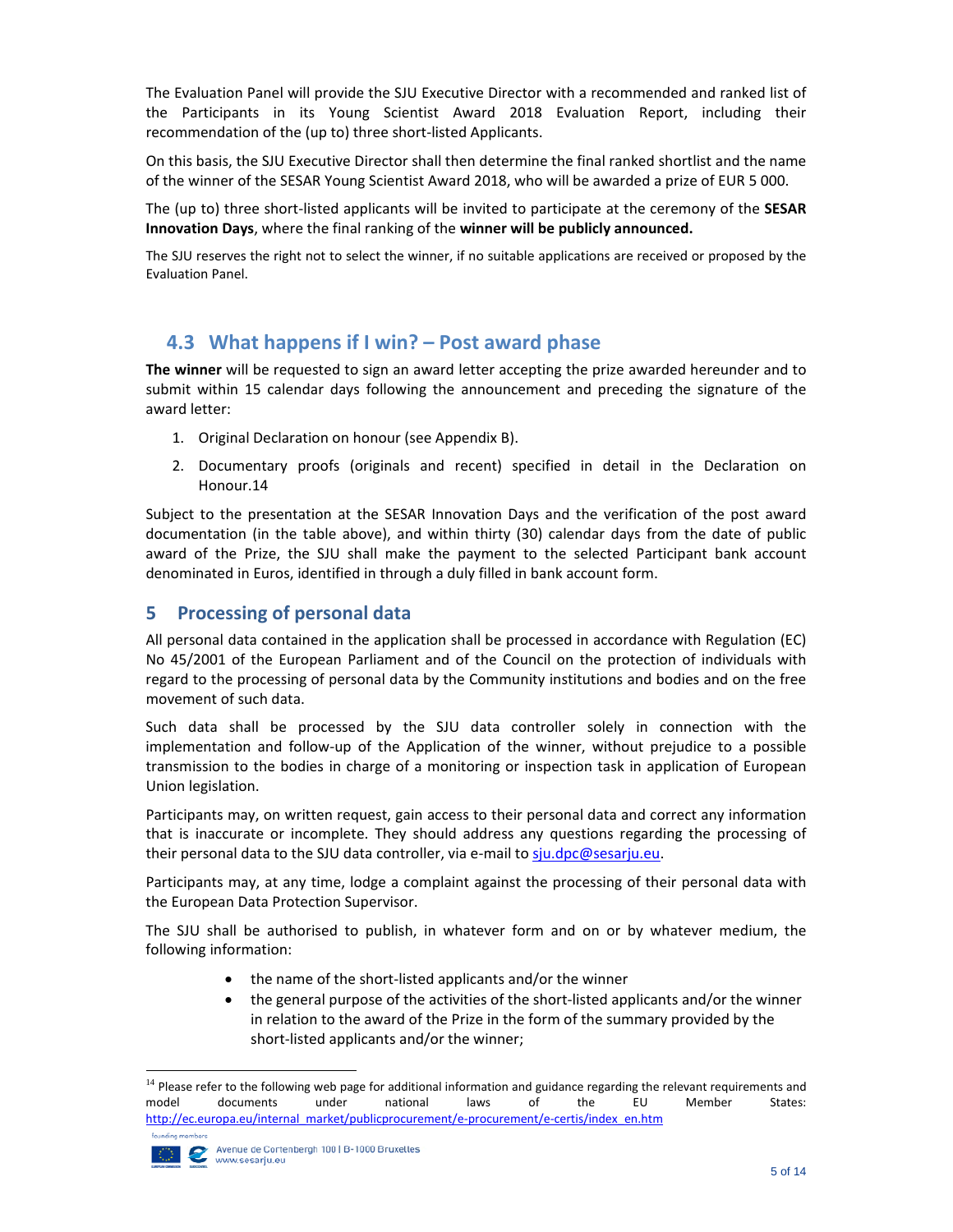The Evaluation Panel will provide the SJU Executive Director with a recommended and ranked list of the Participants in its Young Scientist Award 2018 Evaluation Report, including their recommendation of the (up to) three short‐listed Applicants.

On this basis, the SJU Executive Director shall then determine the final ranked shortlist and the name of the winner of the SESAR Young Scientist Award 2018, who will be awarded a prize of EUR 5 000.

The (up to) three short‐listed applicants will be invited to participate at the ceremony of the **SESAR Innovation Days**, where the final ranking of the **winner will be publicly announced.**

The SJU reserves the right not to select the winner, if no suitable applications are received or proposed by the Evaluation Panel.

## **4.3 What happens if I win? – Post award phase**

**The winner** will be requested to sign an award letter accepting the prize awarded hereunder and to submit within 15 calendar days following the announcement and preceding the signature of the award letter:

- 1. Original Declaration on honour (see Appendix B).
- 2. Documentary proofs (originals and recent) specified in detail in the Declaration on Honour.14

Subject to the presentation at the SESAR Innovation Days and the verification of the post award documentation (in the table above), and within thirty (30) calendar days from the date of public award of the Prize, the SJU shall make the payment to the selected Participant bank account denominated in Euros, identified in through a duly filled in bank account form.

#### **5 Processing of personal data**

All personal data contained in the application shall be processed in accordance with Regulation (EC) No 45/2001 of the European Parliament and of the Council on the protection of individuals with regard to the processing of personal data by the Community institutions and bodies and on the free movement of such data.

Such data shall be processed by the SJU data controller solely in connection with the implementation and follow‐up of the Application of the winner, without prejudice to a possible transmission to the bodies in charge of a monitoring or inspection task in application of European Union legislation.

Participants may, on written request, gain access to their personal data and correct any information that is inaccurate or incomplete. They should address any questions regarding the processing of their personal data to the SJU data controller, via e-mail to sju.dpc@sesarju.eu.

Participants may, at any time, lodge a complaint against the processing of their personal data with the European Data Protection Supervisor.

The SJU shall be authorised to publish, in whatever form and on or by whatever medium, the following information:

- the name of the short‐listed applicants and/or the winner
- the general purpose of the activities of the short‐listed applicants and/or the winner in relation to the award of the Prize in the form of the summary provided by the short‐listed applicants and/or the winner;

<sup>&</sup>lt;sup>14</sup> Please refer to the following web page for additional information and guidance regarding the relevant requirements and model documents under national laws of the EU Member States: http://ec.europa.eu/internal\_market/publicprocurement/e-procurement/e-certis/index\_en.htm founding members

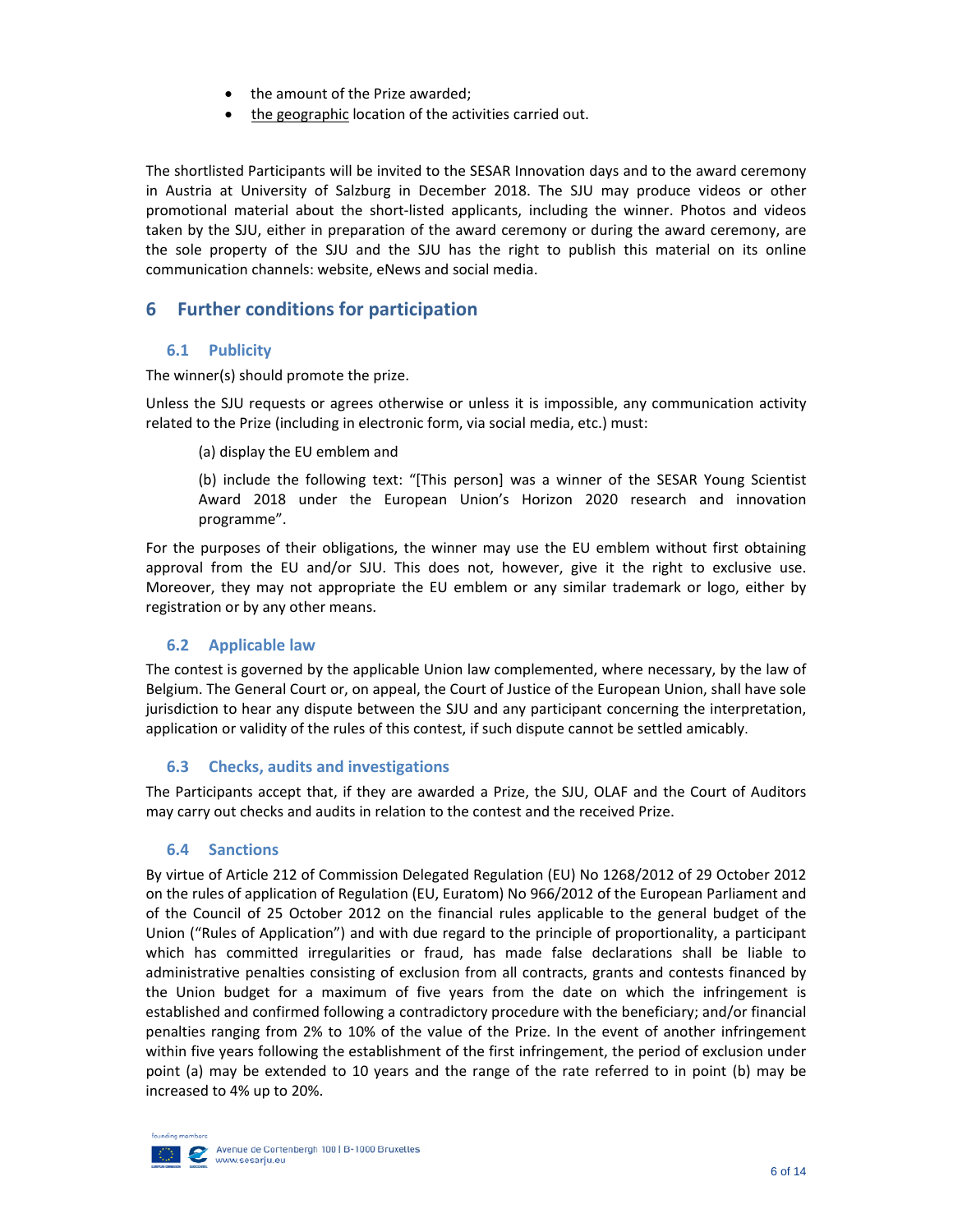- the amount of the Prize awarded;
- the geographic location of the activities carried out.

The shortlisted Participants will be invited to the SESAR Innovation days and to the award ceremony in Austria at University of Salzburg in December 2018. The SJU may produce videos or other promotional material about the short-listed applicants, including the winner. Photos and videos taken by the SJU, either in preparation of the award ceremony or during the award ceremony, are the sole property of the SJU and the SJU has the right to publish this material on its online communication channels: website, eNews and social media.

#### **6 Further conditions for participation**

#### **6.1 Publicity**

The winner(s) should promote the prize.

Unless the SJU requests or agrees otherwise or unless it is impossible, any communication activity related to the Prize (including in electronic form, via social media, etc.) must:

(a) display the EU emblem and

(b) include the following text: "[This person] was a winner of the SESAR Young Scientist Award 2018 under the European Union's Horizon 2020 research and innovation programme".

For the purposes of their obligations, the winner may use the EU emblem without first obtaining approval from the EU and/or SJU. This does not, however, give it the right to exclusive use. Moreover, they may not appropriate the EU emblem or any similar trademark or logo, either by registration or by any other means.

#### **6.2 Applicable law**

The contest is governed by the applicable Union law complemented, where necessary, by the law of Belgium. The General Court or, on appeal, the Court of Justice of the European Union, shall have sole jurisdiction to hear any dispute between the SJU and any participant concerning the interpretation, application or validity of the rules of this contest, if such dispute cannot be settled amicably.

#### **6.3 Checks, audits and investigations**

The Participants accept that, if they are awarded a Prize, the SJU, OLAF and the Court of Auditors may carry out checks and audits in relation to the contest and the received Prize.

#### **6.4 Sanctions**

By virtue of Article 212 of Commission Delegated Regulation (EU) No 1268/2012 of 29 October 2012 on the rules of application of Regulation (EU, Euratom) No 966/2012 of the European Parliament and of the Council of 25 October 2012 on the financial rules applicable to the general budget of the Union ("Rules of Application") and with due regard to the principle of proportionality, a participant which has committed irregularities or fraud, has made false declarations shall be liable to administrative penalties consisting of exclusion from all contracts, grants and contests financed by the Union budget for a maximum of five years from the date on which the infringement is established and confirmed following a contradictory procedure with the beneficiary; and/or financial penalties ranging from 2% to 10% of the value of the Prize. In the event of another infringement within five years following the establishment of the first infringement, the period of exclusion under point (a) may be extended to 10 years and the range of the rate referred to in point (b) may be increased to 4% up to 20%.

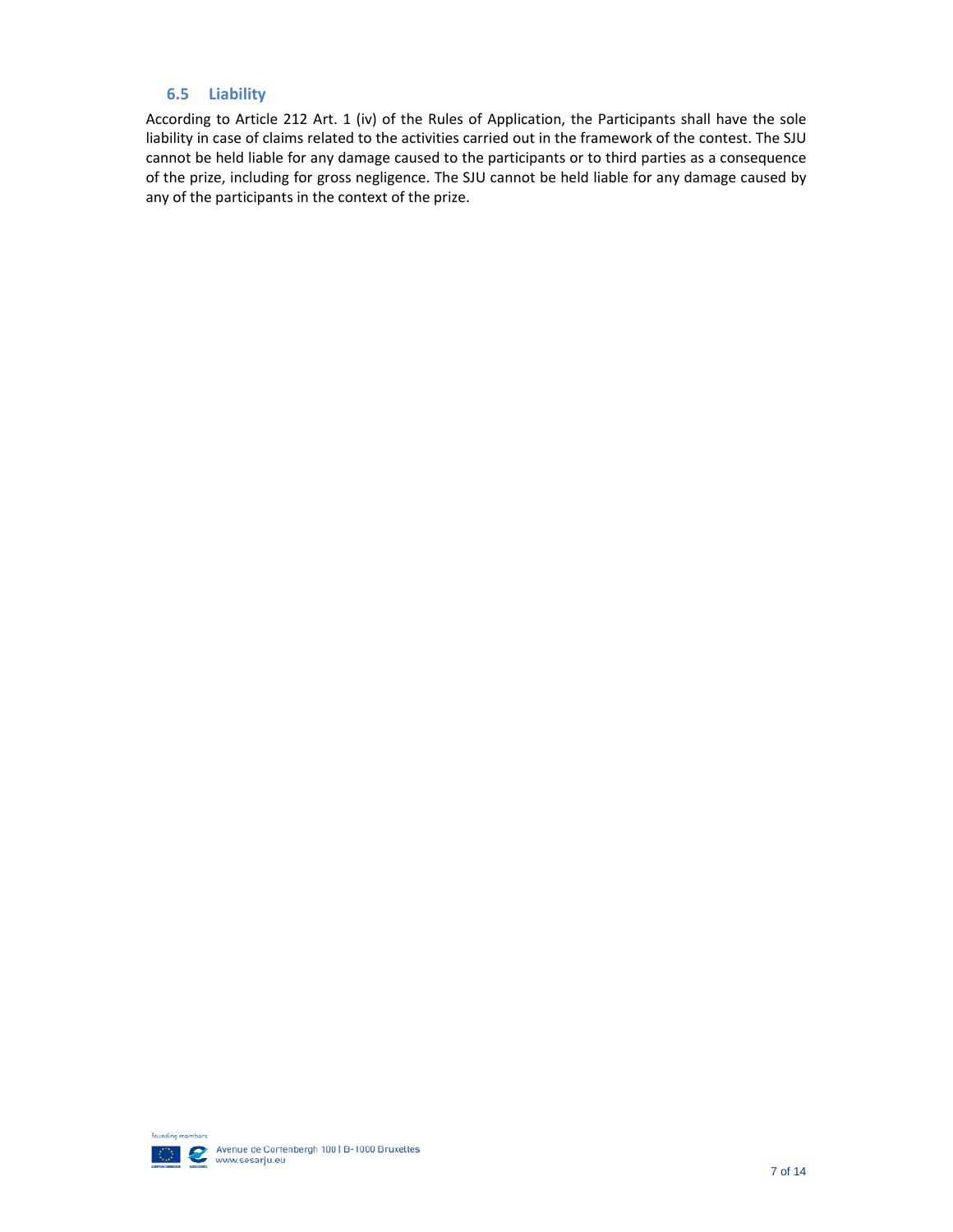#### **6.5 Liability**

According to Article 212 Art. 1 (iv) of the Rules of Application, the Participants shall have the sole liability in case of claims related to the activities carried out in the framework of the contest. The SJU cannot be held liable for any damage caused to the participants or to third parties as a consequence of the prize, including for gross negligence. The SJU cannot be held liable for any damage caused by any of the participants in the context of the prize.

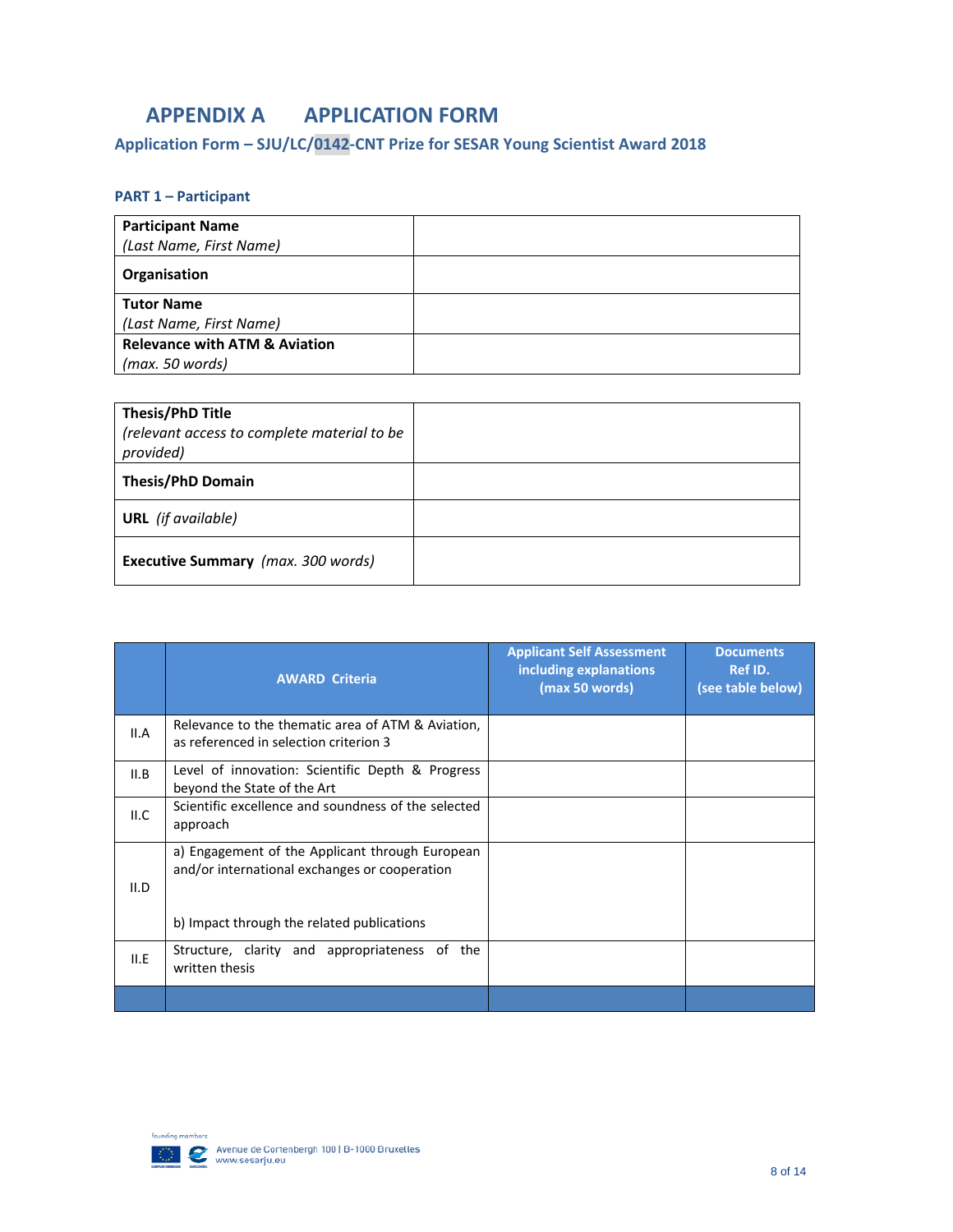## **APPENDIX A APPLICATION FORM**

## **Application Form – SJU/LC/0142‐CNT Prize for SESAR Young Scientist Award 2018**

#### **PART 1 – Participant**

| <b>Participant Name</b>                  |  |
|------------------------------------------|--|
| (Last Name, First Name)                  |  |
| Organisation                             |  |
| <b>Tutor Name</b>                        |  |
| (Last Name, First Name)                  |  |
| <b>Relevance with ATM &amp; Aviation</b> |  |
| (max. 50 words)                          |  |

| <b>Thesis/PhD Title</b><br>(relevant access to complete material to be<br>provided) |  |
|-------------------------------------------------------------------------------------|--|
| <b>Thesis/PhD Domain</b>                                                            |  |
| <b>URL</b> (if available)                                                           |  |
| <b>Executive Summary</b> (max. 300 words)                                           |  |

|      | <b>AWARD</b> Criteria                                                                                                                          | <b>Applicant Self Assessment</b><br>including explanations<br>(max 50 words) | <b>Documents</b><br>Ref ID.<br>(see table below) |
|------|------------------------------------------------------------------------------------------------------------------------------------------------|------------------------------------------------------------------------------|--------------------------------------------------|
| II.A | Relevance to the thematic area of ATM & Aviation,<br>as referenced in selection criterion 3                                                    |                                                                              |                                                  |
| II.B | Level of innovation: Scientific Depth & Progress<br>beyond the State of the Art                                                                |                                                                              |                                                  |
| ILC  | Scientific excellence and soundness of the selected<br>approach                                                                                |                                                                              |                                                  |
| II.D | a) Engagement of the Applicant through European<br>and/or international exchanges or cooperation<br>b) Impact through the related publications |                                                                              |                                                  |
| II.E | Structure, clarity and appropriateness of the<br>written thesis                                                                                |                                                                              |                                                  |
|      |                                                                                                                                                |                                                                              |                                                  |

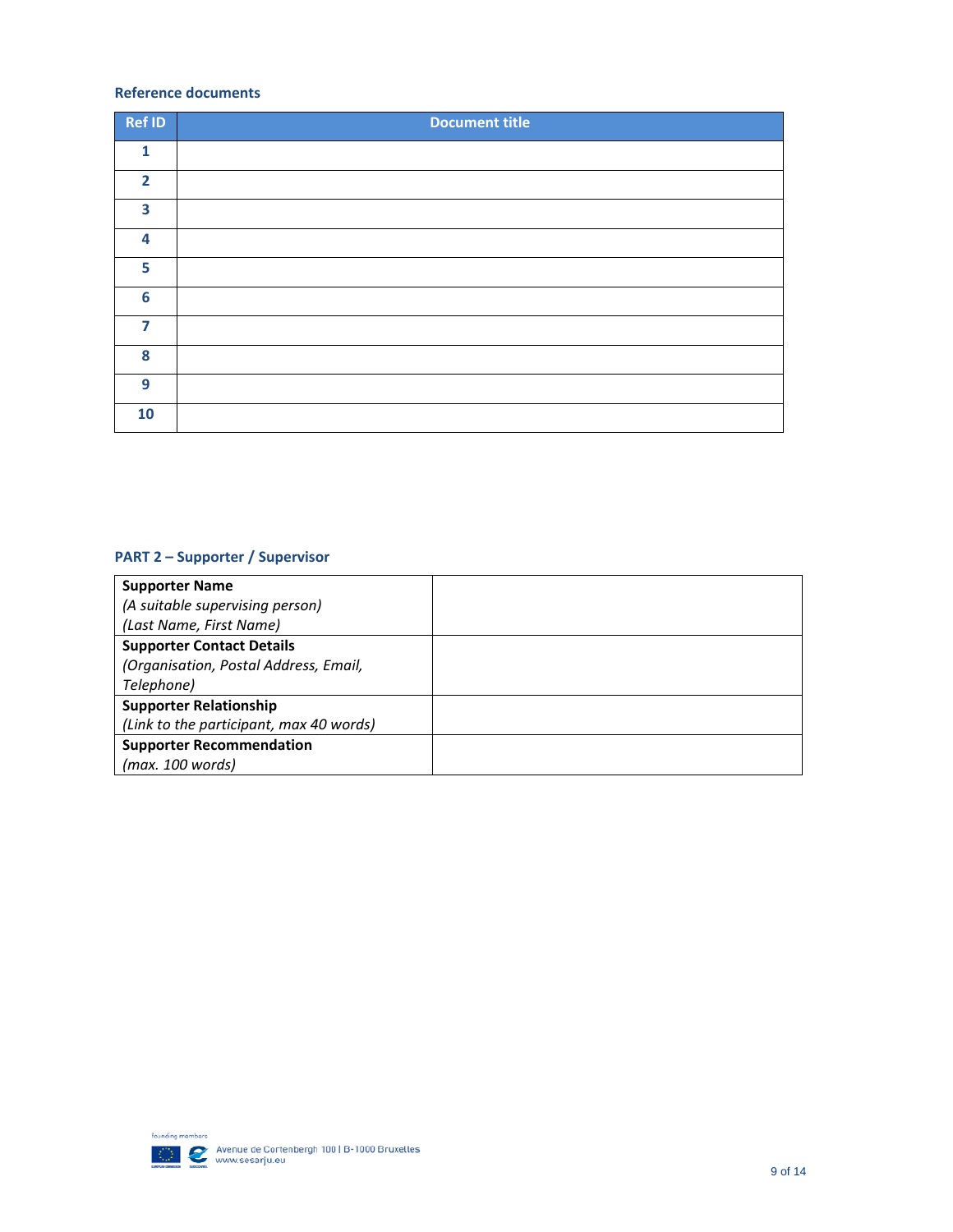#### **Reference documents**

| Ref ID          | <b>Document title</b> |
|-----------------|-----------------------|
| $\mathbf{1}$    |                       |
| $\overline{2}$  |                       |
| 3               |                       |
| 4               |                       |
| 5               |                       |
| $6\phantom{1}6$ |                       |
| $\overline{7}$  |                       |
| 8               |                       |
| 9               |                       |
| 10              |                       |

### **PART 2 – Supporter / Supervisor**

| <b>Supporter Name</b>                   |  |
|-----------------------------------------|--|
| (A suitable supervising person)         |  |
| (Last Name, First Name)                 |  |
| <b>Supporter Contact Details</b>        |  |
| (Organisation, Postal Address, Email,   |  |
| Telephone)                              |  |
| <b>Supporter Relationship</b>           |  |
| (Link to the participant, max 40 words) |  |
| <b>Supporter Recommendation</b>         |  |
| (max. 100 words)                        |  |

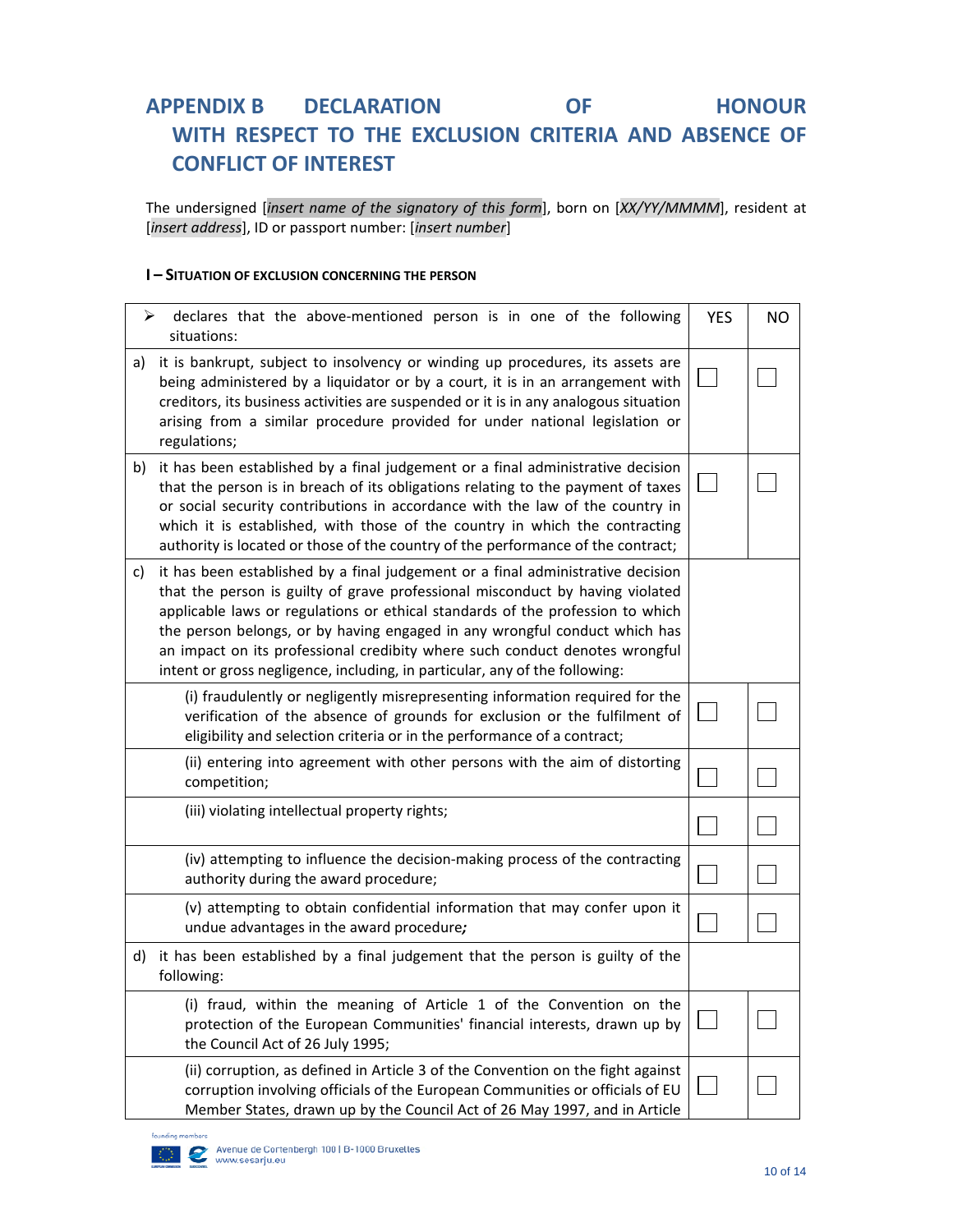## **APPENDIX B DECLARATION OF HONOUR WITH RESPECT TO THE EXCLUSION CRITERIA AND ABSENCE OF CONFLICT OF INTEREST**

The undersigned [*insert name of the signatory of this form*], born on [*XX/YY/MMMM*], resident at [*insert address*], ID or passport number: [*insert number*]

#### **I – SITUATION OF EXCLUSION CONCERNING THE PERSON**

| ➤  | declares that the above-mentioned person is in one of the following<br>situations:                                                                                                                                                                                                                                                                                                                                                                                                             | <b>YES</b>   | NO |
|----|------------------------------------------------------------------------------------------------------------------------------------------------------------------------------------------------------------------------------------------------------------------------------------------------------------------------------------------------------------------------------------------------------------------------------------------------------------------------------------------------|--------------|----|
| a) | it is bankrupt, subject to insolvency or winding up procedures, its assets are<br>being administered by a liquidator or by a court, it is in an arrangement with<br>creditors, its business activities are suspended or it is in any analogous situation<br>arising from a similar procedure provided for under national legislation or<br>regulations;                                                                                                                                        |              |    |
| b) | it has been established by a final judgement or a final administrative decision<br>that the person is in breach of its obligations relating to the payment of taxes<br>or social security contributions in accordance with the law of the country in<br>which it is established, with those of the country in which the contracting<br>authority is located or those of the country of the performance of the contract;                                                                        |              |    |
| C) | it has been established by a final judgement or a final administrative decision<br>that the person is guilty of grave professional misconduct by having violated<br>applicable laws or regulations or ethical standards of the profession to which<br>the person belongs, or by having engaged in any wrongful conduct which has<br>an impact on its professional credibity where such conduct denotes wrongful<br>intent or gross negligence, including, in particular, any of the following: |              |    |
|    | (i) fraudulently or negligently misrepresenting information required for the<br>verification of the absence of grounds for exclusion or the fulfilment of<br>eligibility and selection criteria or in the performance of a contract;                                                                                                                                                                                                                                                           |              |    |
|    | (ii) entering into agreement with other persons with the aim of distorting<br>competition;                                                                                                                                                                                                                                                                                                                                                                                                     |              |    |
|    | (iii) violating intellectual property rights;                                                                                                                                                                                                                                                                                                                                                                                                                                                  |              |    |
|    | (iv) attempting to influence the decision-making process of the contracting<br>authority during the award procedure;                                                                                                                                                                                                                                                                                                                                                                           |              |    |
|    | (v) attempting to obtain confidential information that may confer upon it<br>undue advantages in the award procedure;                                                                                                                                                                                                                                                                                                                                                                          |              |    |
|    | d) it has been established by a final judgement that the person is guilty of the<br>following:                                                                                                                                                                                                                                                                                                                                                                                                 |              |    |
|    | (i) fraud, within the meaning of Article 1 of the Convention on the<br>protection of the European Communities' financial interests, drawn up by<br>the Council Act of 26 July 1995;                                                                                                                                                                                                                                                                                                            | $\mathbf{I}$ |    |
|    | (ii) corruption, as defined in Article 3 of the Convention on the fight against<br>corruption involving officials of the European Communities or officials of EU<br>Member States, drawn up by the Council Act of 26 May 1997, and in Article                                                                                                                                                                                                                                                  |              |    |

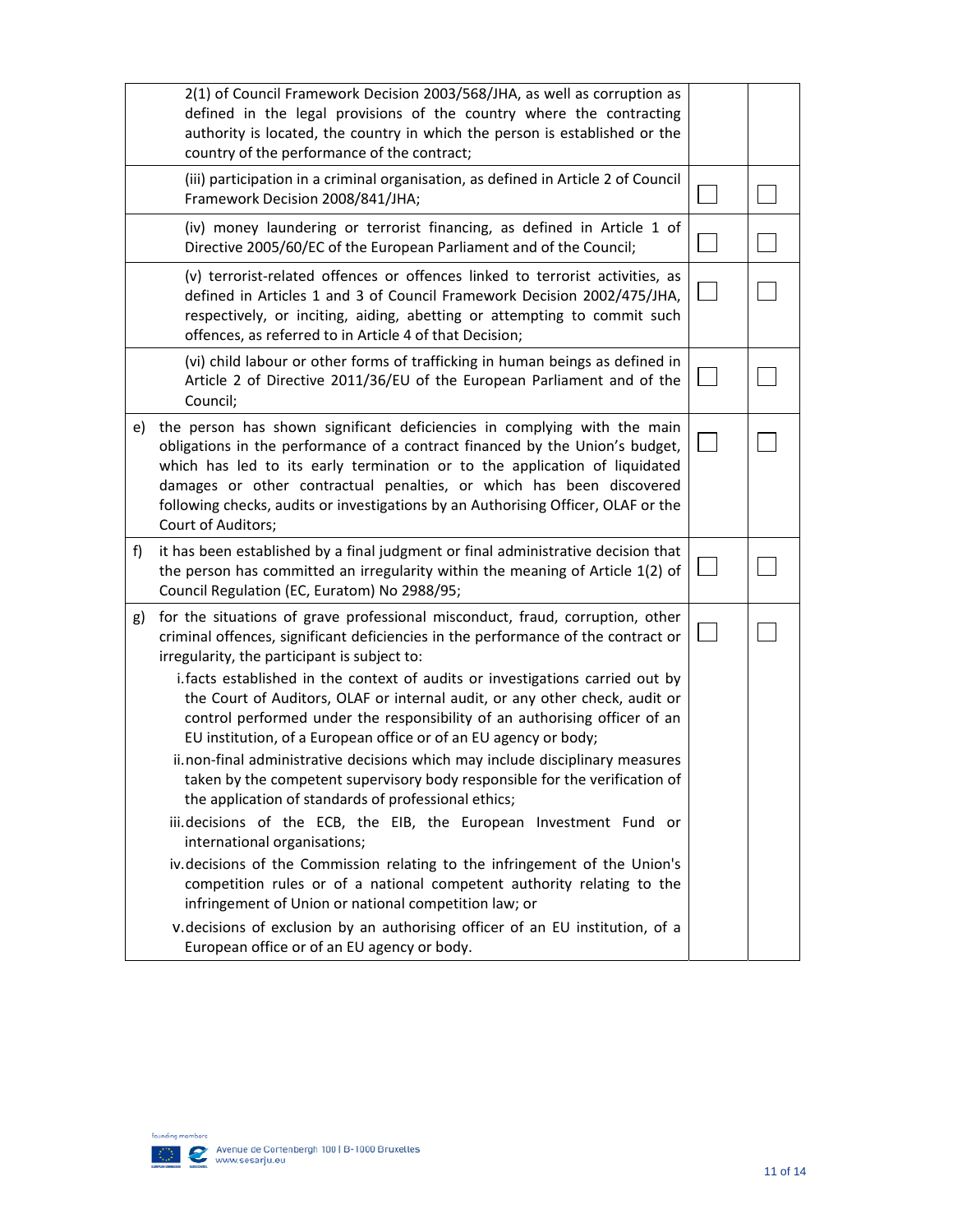|    | 2(1) of Council Framework Decision 2003/568/JHA, as well as corruption as<br>defined in the legal provisions of the country where the contracting<br>authority is located, the country in which the person is established or the<br>country of the performance of the contract;                                                                                                                                                                                                                                                                                                                                                                                                                                                                                                                                                                                                                                                                                                                                                                                                                                                                                                                                      |  |
|----|----------------------------------------------------------------------------------------------------------------------------------------------------------------------------------------------------------------------------------------------------------------------------------------------------------------------------------------------------------------------------------------------------------------------------------------------------------------------------------------------------------------------------------------------------------------------------------------------------------------------------------------------------------------------------------------------------------------------------------------------------------------------------------------------------------------------------------------------------------------------------------------------------------------------------------------------------------------------------------------------------------------------------------------------------------------------------------------------------------------------------------------------------------------------------------------------------------------------|--|
|    | (iii) participation in a criminal organisation, as defined in Article 2 of Council<br>Framework Decision 2008/841/JHA;                                                                                                                                                                                                                                                                                                                                                                                                                                                                                                                                                                                                                                                                                                                                                                                                                                                                                                                                                                                                                                                                                               |  |
|    | (iv) money laundering or terrorist financing, as defined in Article 1 of<br>Directive 2005/60/EC of the European Parliament and of the Council;                                                                                                                                                                                                                                                                                                                                                                                                                                                                                                                                                                                                                                                                                                                                                                                                                                                                                                                                                                                                                                                                      |  |
|    | (v) terrorist-related offences or offences linked to terrorist activities, as<br>defined in Articles 1 and 3 of Council Framework Decision 2002/475/JHA,<br>respectively, or inciting, aiding, abetting or attempting to commit such<br>offences, as referred to in Article 4 of that Decision;                                                                                                                                                                                                                                                                                                                                                                                                                                                                                                                                                                                                                                                                                                                                                                                                                                                                                                                      |  |
|    | (vi) child labour or other forms of trafficking in human beings as defined in<br>Article 2 of Directive 2011/36/EU of the European Parliament and of the<br>Council;                                                                                                                                                                                                                                                                                                                                                                                                                                                                                                                                                                                                                                                                                                                                                                                                                                                                                                                                                                                                                                                 |  |
| e) | the person has shown significant deficiencies in complying with the main<br>obligations in the performance of a contract financed by the Union's budget,<br>which has led to its early termination or to the application of liquidated<br>damages or other contractual penalties, or which has been discovered<br>following checks, audits or investigations by an Authorising Officer, OLAF or the<br>Court of Auditors;                                                                                                                                                                                                                                                                                                                                                                                                                                                                                                                                                                                                                                                                                                                                                                                            |  |
| f) | it has been established by a final judgment or final administrative decision that<br>the person has committed an irregularity within the meaning of Article 1(2) of<br>Council Regulation (EC, Euratom) No 2988/95;                                                                                                                                                                                                                                                                                                                                                                                                                                                                                                                                                                                                                                                                                                                                                                                                                                                                                                                                                                                                  |  |
| g) | for the situations of grave professional misconduct, fraud, corruption, other<br>criminal offences, significant deficiencies in the performance of the contract or<br>irregularity, the participant is subject to:<br>i. facts established in the context of audits or investigations carried out by<br>the Court of Auditors, OLAF or internal audit, or any other check, audit or<br>control performed under the responsibility of an authorising officer of an<br>EU institution, of a European office or of an EU agency or body;<br>ii.non-final administrative decisions which may include disciplinary measures<br>taken by the competent supervisory body responsible for the verification of<br>the application of standards of professional ethics;<br>iii.decisions of the ECB, the EIB, the European Investment Fund or<br>international organisations;<br>iv.decisions of the Commission relating to the infringement of the Union's<br>competition rules or of a national competent authority relating to the<br>infringement of Union or national competition law; or<br>v.decisions of exclusion by an authorising officer of an EU institution, of a<br>European office or of an EU agency or body. |  |

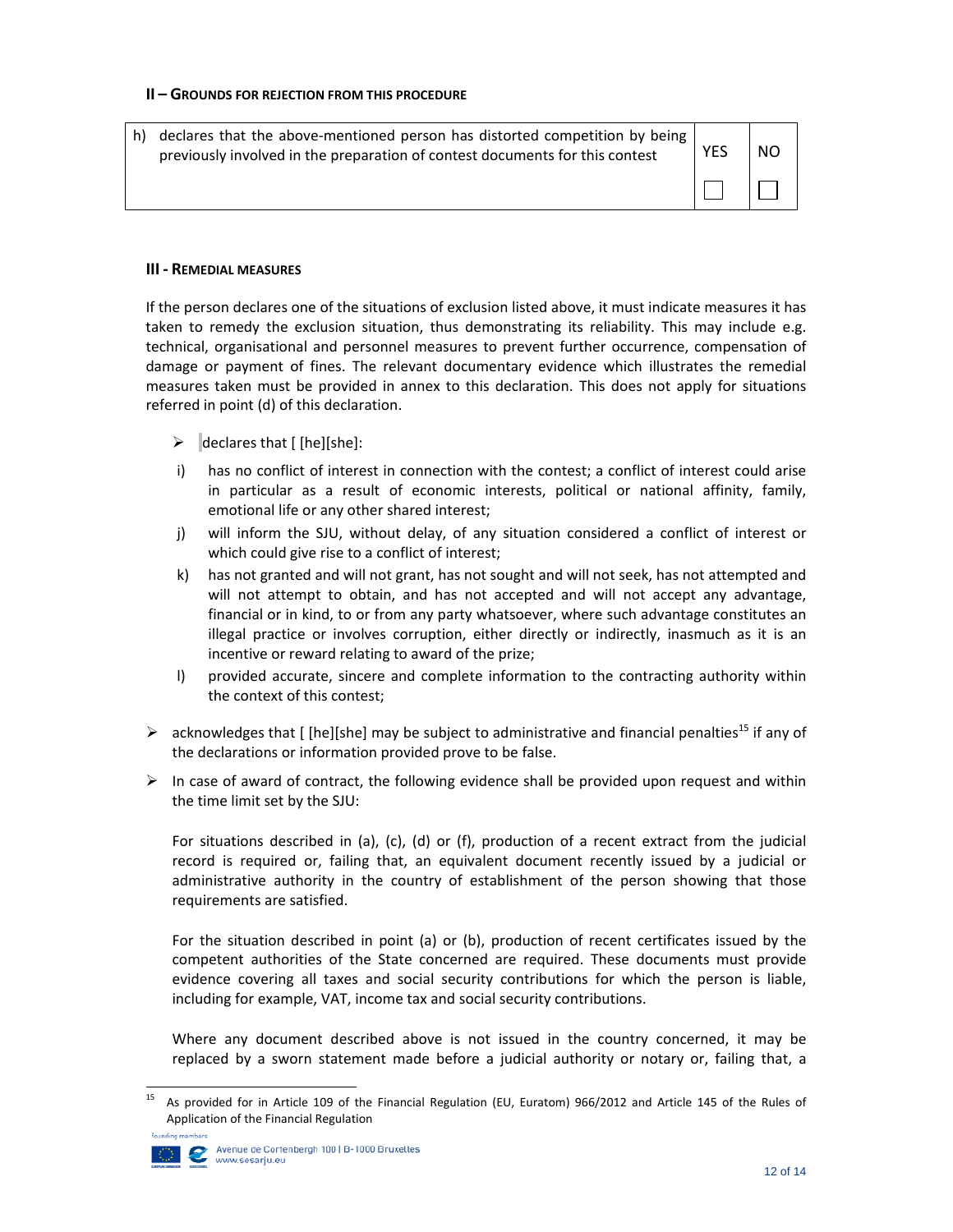#### **II – GROUNDS FOR REJECTION FROM THIS PROCEDURE**

| h) declares that the above-mentioned person has distorted competition by being<br>previously involved in the preparation of contest documents for this contest | <b>YES</b> | <b>NO</b> |
|----------------------------------------------------------------------------------------------------------------------------------------------------------------|------------|-----------|
|                                                                                                                                                                |            |           |

#### **III ‐ REMEDIAL MEASURES**

If the person declares one of the situations of exclusion listed above, it must indicate measures it has taken to remedy the exclusion situation, thus demonstrating its reliability. This may include e.g. technical, organisational and personnel measures to prevent further occurrence, compensation of damage or payment of fines. The relevant documentary evidence which illustrates the remedial measures taken must be provided in annex to this declaration. This does not apply for situations referred in point (d) of this declaration.

- $\triangleright$  declares that [ [he][she]:
- i) has no conflict of interest in connection with the contest; a conflict of interest could arise in particular as a result of economic interests, political or national affinity, family, emotional life or any other shared interest;
- j) will inform the SJU, without delay, of any situation considered a conflict of interest or which could give rise to a conflict of interest;
- k) has not granted and will not grant, has not sought and will not seek, has not attempted and will not attempt to obtain, and has not accepted and will not accept any advantage, financial or in kind, to or from any party whatsoever, where such advantage constitutes an illegal practice or involves corruption, either directly or indirectly, inasmuch as it is an incentive or reward relating to award of the prize;
- l) provided accurate, sincere and complete information to the contracting authority within the context of this contest;
- $\triangleright$  acknowledges that [ [he][she] may be subject to administrative and financial penalties<sup>15</sup> if any of the declarations or information provided prove to be false.
- $\triangleright$  In case of award of contract, the following evidence shall be provided upon request and within the time limit set by the SJU:

For situations described in (a), (c), (d) or (f), production of a recent extract from the judicial record is required or, failing that, an equivalent document recently issued by a judicial or administrative authority in the country of establishment of the person showing that those requirements are satisfied.

For the situation described in point (a) or (b), production of recent certificates issued by the competent authorities of the State concerned are required. These documents must provide evidence covering all taxes and social security contributions for which the person is liable, including for example, VAT, income tax and social security contributions.

Where any document described above is not issued in the country concerned, it may be replaced by a sworn statement made before a judicial authority or notary or, failing that, a

<sup>&</sup>lt;sup>15</sup> As provided for in Article 109 of the Financial Regulation (EU, Euratom) 966/2012 and Article 145 of the Rules of Application of the Financial Regulation